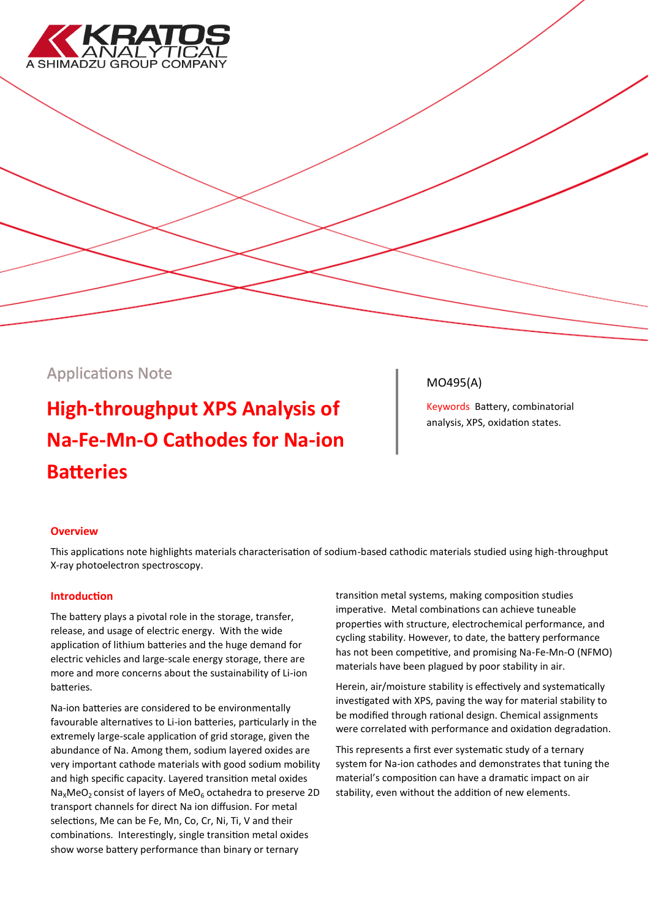

## Applications Note

# **High-throughput XPS Analysis of Na-Fe-Mn-O Cathodes for Na-ion Batteries**

### MO495(A)

Keywords Battery, combinatorial analysis, XPS, oxidation states.

#### **Overview**

This applications note highlights materials characterisation of sodium-based cathodic materials studied using high-throughput X-ray photoelectron spectroscopy.

#### **Introduction**

The battery plays a pivotal role in the storage, transfer, release, and usage of electric energy. With the wide application of lithium batteries and the huge demand for electric vehicles and large-scale energy storage, there are more and more concerns about the sustainability of Li-ion batteries.

Na-ion batteries are considered to be environmentally favourable alternatives to Li-ion batteries, particularly in the extremely large-scale application of grid storage, given the abundance of Na. Among them, sodium layered oxides are very important cathode materials with good sodium mobility and high specific capacity. Layered transition metal oxides  $Na<sub>x</sub>MeO<sub>2</sub>$  consist of layers of MeO<sub>6</sub> octahedra to preserve 2D transport channels for direct Na ion diffusion. For metal selections, Me can be Fe, Mn, Co, Cr, Ni, Ti, V and their combinations. Interestingly, single transition metal oxides show worse battery performance than binary or ternary

transition metal systems, making composition studies imperative. Metal combinations can achieve tuneable properties with structure, electrochemical performance, and cycling stability. However, to date, the battery performance has not been competitive, and promising Na-Fe-Mn-O (NFMO) materials have been plagued by poor stability in air.

Herein, air/moisture stability is effectively and systematically investigated with XPS, paving the way for material stability to be modified through rational design. Chemical assignments were correlated with performance and oxidation degradation.

This represents a first ever systematic study of a ternary system for Na-ion cathodes and demonstrates that tuning the material's composition can have a dramatic impact on air stability, even without the addition of new elements.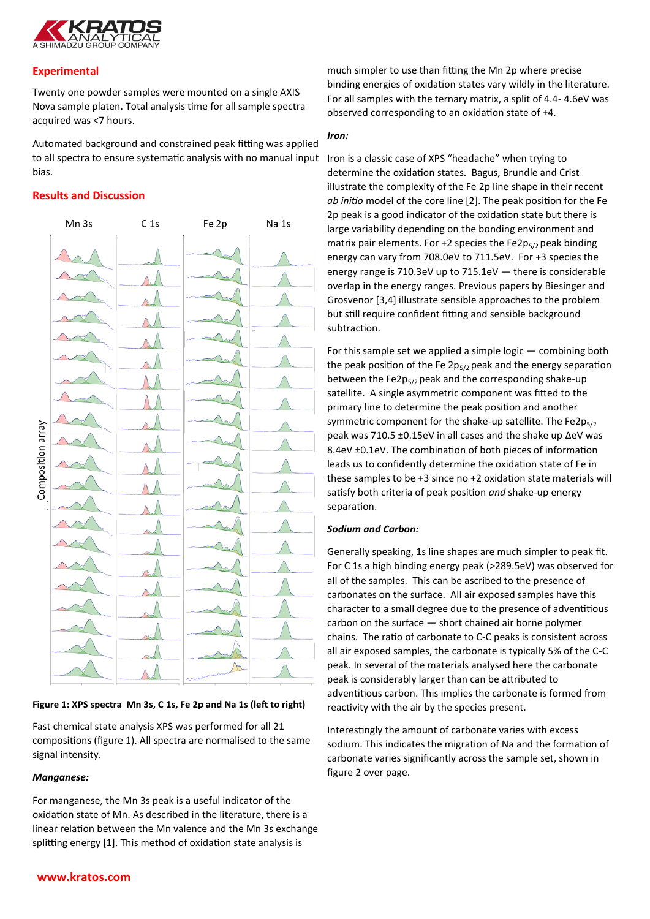

#### **Experimental**

Twenty one powder samples were mounted on a single AXIS Nova sample platen. Total analysis time for all sample spectra acquired was <7 hours.

Automated background and constrained peak fitting was applied to all spectra to ensure systematic analysis with no manual input Iron is a classic case of XPS "headache" when trying to bias.

#### **Results and Discussion**



**Figure 1: XPS spectra Mn 3s, C 1s, Fe 2p and Na 1s (left to right)**

Fast chemical state analysis XPS was performed for all 21 compositions (figure 1). All spectra are normalised to the same signal intensity.

#### *Manganese:*

For manganese, the Mn 3s peak is a useful indicator of the oxidation state of Mn. As described in the literature, there is a linear relation between the Mn valence and the Mn 3s exchange splitting energy [1]. This method of oxidation state analysis is

much simpler to use than fitting the Mn 2p where precise binding energies of oxidation states vary wildly in the literature. For all samples with the ternary matrix, a split of 4.4- 4.6eV was observed corresponding to an oxidation state of +4.

#### *Iron:*

determine the oxidation states. Bagus, Brundle and Crist illustrate the complexity of the Fe 2p line shape in their recent *ab initio* model of the core line [2]. The peak position for the Fe 2p peak is a good indicator of the oxidation state but there is large variability depending on the bonding environment and matrix pair elements. For +2 species the Fe2 $p_{5/2}$  peak binding energy can vary from 708.0eV to 711.5eV. For +3 species the energy range is 710.3eV up to 715.1eV — there is considerable overlap in the energy ranges. Previous papers by Biesinger and Grosvenor [3,4] illustrate sensible approaches to the problem but still require confident fitting and sensible background subtraction.

For this sample set we applied a simple logic — combining both the peak position of the Fe  $2p_{5/2}$  peak and the energy separation between the Fe2p $5/2$  peak and the corresponding shake-up satellite. A single asymmetric component was fitted to the primary line to determine the peak position and another symmetric component for the shake-up satellite. The Fe2p $_{5/2}$ peak was 710.5 ±0.15eV in all cases and the shake up ΔeV was 8.4eV ±0.1eV. The combination of both pieces of information leads us to confidently determine the oxidation state of Fe in these samples to be +3 since no +2 oxidation state materials will satisfy both criteria of peak position *and* shake-up energy separation.

#### *Sodium and Carbon:*

Generally speaking, 1s line shapes are much simpler to peak fit. For C 1s a high binding energy peak (>289.5eV) was observed for all of the samples. This can be ascribed to the presence of carbonates on the surface. All air exposed samples have this character to a small degree due to the presence of adventitious carbon on the surface — short chained air borne polymer chains. The ratio of carbonate to C-C peaks is consistent across all air exposed samples, the carbonate is typically 5% of the C-C peak. In several of the materials analysed here the carbonate peak is considerably larger than can be attributed to adventitious carbon. This implies the carbonate is formed from reactivity with the air by the species present.

Interestingly the amount of carbonate varies with excess sodium. This indicates the migration of Na and the formation of carbonate varies significantly across the sample set, shown in figure 2 over page.